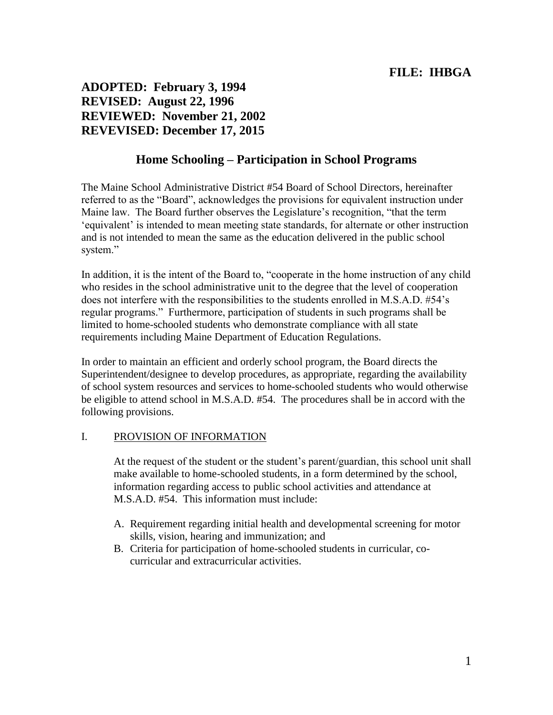**ADOPTED: February 3, 1994 REVISED: August 22, 1996 REVIEWED: November 21, 2002 REVEVISED: December 17, 2015**

# **Home Schooling – Participation in School Programs**

The Maine School Administrative District #54 Board of School Directors, hereinafter referred to as the "Board", acknowledges the provisions for equivalent instruction under Maine law. The Board further observes the Legislature's recognition, "that the term 'equivalent' is intended to mean meeting state standards, for alternate or other instruction and is not intended to mean the same as the education delivered in the public school system."

In addition, it is the intent of the Board to, "cooperate in the home instruction of any child who resides in the school administrative unit to the degree that the level of cooperation does not interfere with the responsibilities to the students enrolled in M.S.A.D. #54's regular programs." Furthermore, participation of students in such programs shall be limited to home-schooled students who demonstrate compliance with all state requirements including Maine Department of Education Regulations.

In order to maintain an efficient and orderly school program, the Board directs the Superintendent/designee to develop procedures, as appropriate, regarding the availability of school system resources and services to home-schooled students who would otherwise be eligible to attend school in M.S.A.D. #54. The procedures shall be in accord with the following provisions.

#### I. PROVISION OF INFORMATION

At the request of the student or the student's parent/guardian, this school unit shall make available to home-schooled students, in a form determined by the school, information regarding access to public school activities and attendance at M.S.A.D. #54. This information must include:

- A. Requirement regarding initial health and developmental screening for motor skills, vision, hearing and immunization; and
- B. Criteria for participation of home-schooled students in curricular, cocurricular and extracurricular activities.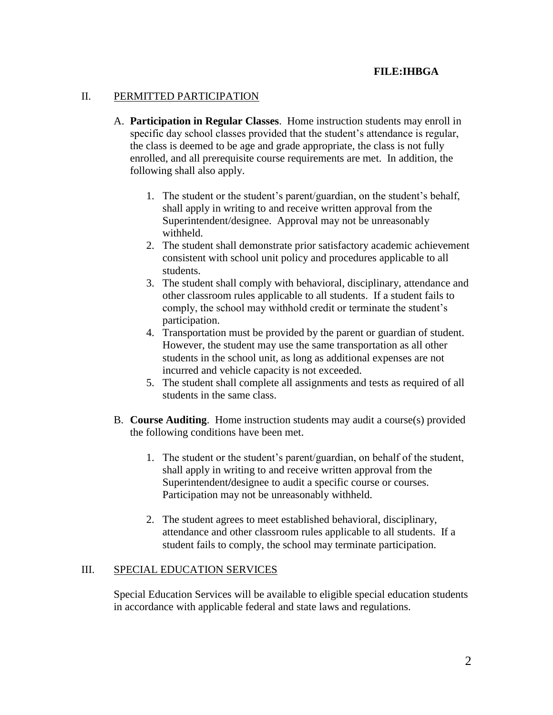### II. PERMITTED PARTICIPATION

- A. **Participation in Regular Classes**. Home instruction students may enroll in specific day school classes provided that the student's attendance is regular, the class is deemed to be age and grade appropriate, the class is not fully enrolled, and all prerequisite course requirements are met. In addition, the following shall also apply.
	- 1. The student or the student's parent/guardian, on the student's behalf, shall apply in writing to and receive written approval from the Superintendent/designee. Approval may not be unreasonably withheld.
	- 2. The student shall demonstrate prior satisfactory academic achievement consistent with school unit policy and procedures applicable to all students.
	- 3. The student shall comply with behavioral, disciplinary, attendance and other classroom rules applicable to all students. If a student fails to comply, the school may withhold credit or terminate the student's participation.
	- 4. Transportation must be provided by the parent or guardian of student. However, the student may use the same transportation as all other students in the school unit, as long as additional expenses are not incurred and vehicle capacity is not exceeded.
	- 5. The student shall complete all assignments and tests as required of all students in the same class.
- B. **Course Auditing**. Home instruction students may audit a course(s) provided the following conditions have been met.
	- 1. The student or the student's parent/guardian, on behalf of the student, shall apply in writing to and receive written approval from the Superintendent/designee to audit a specific course or courses. Participation may not be unreasonably withheld.
	- 2. The student agrees to meet established behavioral, disciplinary, attendance and other classroom rules applicable to all students. If a student fails to comply, the school may terminate participation.

#### III. SPECIAL EDUCATION SERVICES

Special Education Services will be available to eligible special education students in accordance with applicable federal and state laws and regulations.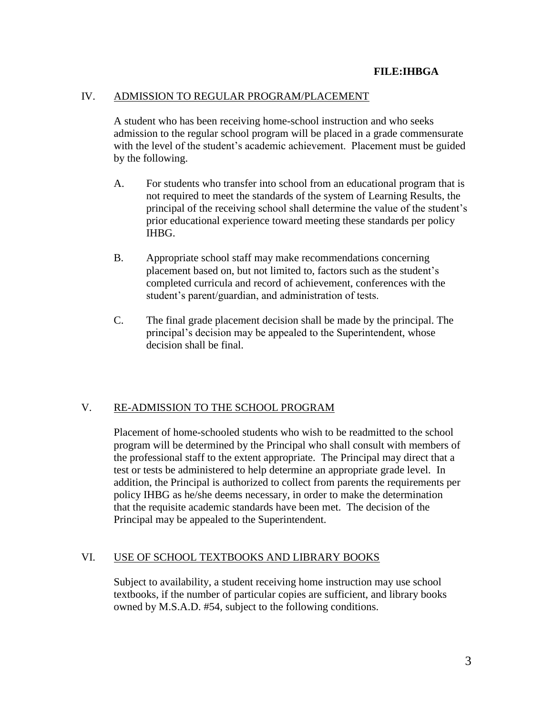#### IV. ADMISSION TO REGULAR PROGRAM/PLACEMENT

A student who has been receiving home-school instruction and who seeks admission to the regular school program will be placed in a grade commensurate with the level of the student's academic achievement. Placement must be guided by the following.

- A. For students who transfer into school from an educational program that is not required to meet the standards of the system of Learning Results, the principal of the receiving school shall determine the value of the student's prior educational experience toward meeting these standards per policy IHBG.
- B. Appropriate school staff may make recommendations concerning placement based on, but not limited to, factors such as the student's completed curricula and record of achievement, conferences with the student's parent/guardian, and administration of tests.
- C. The final grade placement decision shall be made by the principal. The principal's decision may be appealed to the Superintendent, whose decision shall be final.

#### V. RE-ADMISSION TO THE SCHOOL PROGRAM

Placement of home-schooled students who wish to be readmitted to the school program will be determined by the Principal who shall consult with members of the professional staff to the extent appropriate. The Principal may direct that a test or tests be administered to help determine an appropriate grade level. In addition, the Principal is authorized to collect from parents the requirements per policy IHBG as he/she deems necessary, in order to make the determination that the requisite academic standards have been met. The decision of the Principal may be appealed to the Superintendent.

#### VI. USE OF SCHOOL TEXTBOOKS AND LIBRARY BOOKS

Subject to availability, a student receiving home instruction may use school textbooks, if the number of particular copies are sufficient, and library books owned by M.S.A.D. #54, subject to the following conditions.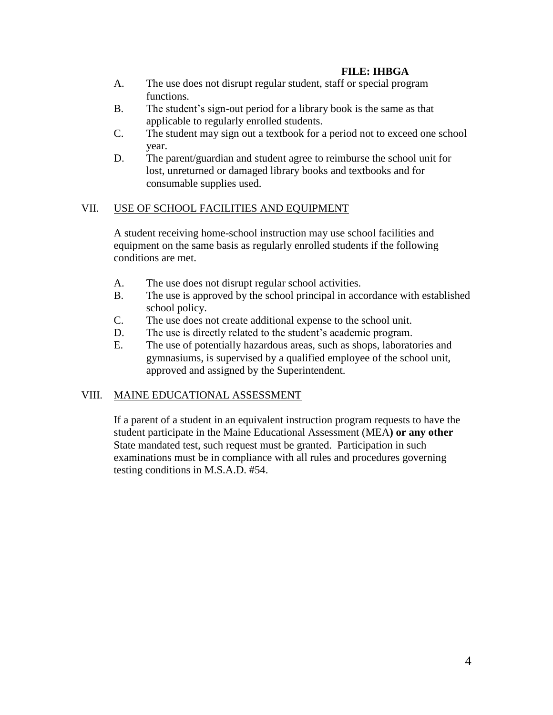- A. The use does not disrupt regular student, staff or special program functions.
- B. The student's sign-out period for a library book is the same as that applicable to regularly enrolled students.
- C. The student may sign out a textbook for a period not to exceed one school year.
- D. The parent/guardian and student agree to reimburse the school unit for lost, unreturned or damaged library books and textbooks and for consumable supplies used.

### VII. USE OF SCHOOL FACILITIES AND EQUIPMENT

A student receiving home-school instruction may use school facilities and equipment on the same basis as regularly enrolled students if the following conditions are met.

- A. The use does not disrupt regular school activities.
- B. The use is approved by the school principal in accordance with established school policy.
- C. The use does not create additional expense to the school unit.
- D. The use is directly related to the student's academic program.
- E. The use of potentially hazardous areas, such as shops, laboratories and gymnasiums, is supervised by a qualified employee of the school unit, approved and assigned by the Superintendent.

# VIII. MAINE EDUCATIONAL ASSESSMENT

If a parent of a student in an equivalent instruction program requests to have the student participate in the Maine Educational Assessment (MEA**) or any other** State mandated test, such request must be granted. Participation in such examinations must be in compliance with all rules and procedures governing testing conditions in M.S.A.D. #54.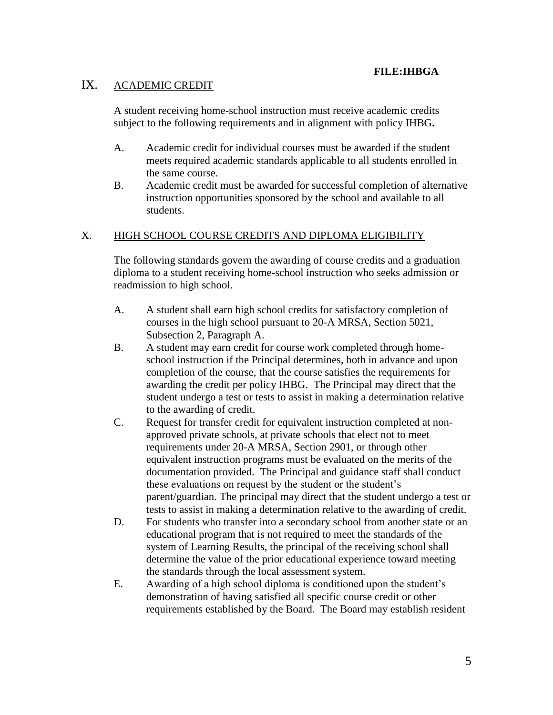# IX. ACADEMIC CREDIT

A student receiving home-school instruction must receive academic credits subject to the following requirements and in alignment with policy IHBG**.**

- A. Academic credit for individual courses must be awarded if the student meets required academic standards applicable to all students enrolled in the same course.
- B. Academic credit must be awarded for successful completion of alternative instruction opportunities sponsored by the school and available to all students.

# X. HIGH SCHOOL COURSE CREDITS AND DIPLOMA ELIGIBILITY

The following standards govern the awarding of course credits and a graduation diploma to a student receiving home-school instruction who seeks admission or readmission to high school.

- A. A student shall earn high school credits for satisfactory completion of courses in the high school pursuant to 20-A MRSA, Section 5021, Subsection 2, Paragraph A.
- B. A student may earn credit for course work completed through homeschool instruction if the Principal determines, both in advance and upon completion of the course, that the course satisfies the requirements for awarding the credit per policy IHBG. The Principal may direct that the student undergo a test or tests to assist in making a determination relative to the awarding of credit.
- C. Request for transfer credit for equivalent instruction completed at nonapproved private schools, at private schools that elect not to meet requirements under 20-A MRSA, Section 2901, or through other equivalent instruction programs must be evaluated on the merits of the documentation provided. The Principal and guidance staff shall conduct these evaluations on request by the student or the student's parent/guardian. The principal may direct that the student undergo a test or tests to assist in making a determination relative to the awarding of credit.
- D. For students who transfer into a secondary school from another state or an educational program that is not required to meet the standards of the system of Learning Results, the principal of the receiving school shall determine the value of the prior educational experience toward meeting the standards through the local assessment system.
- E. Awarding of a high school diploma is conditioned upon the student's demonstration of having satisfied all specific course credit or other requirements established by the Board. The Board may establish resident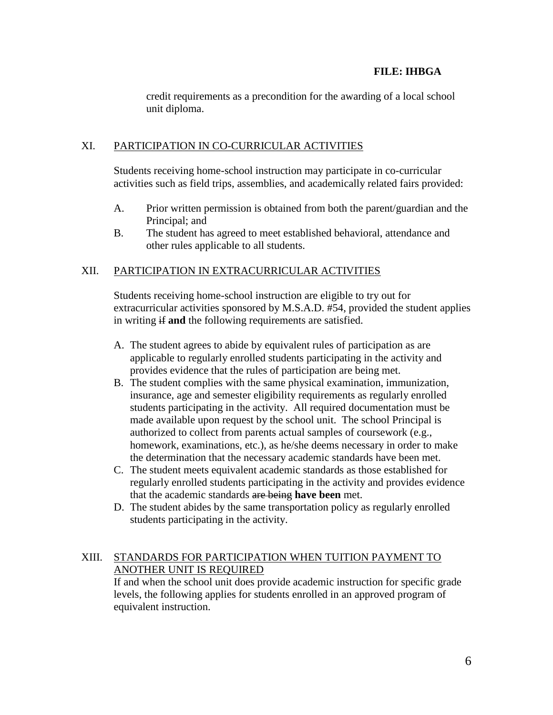credit requirements as a precondition for the awarding of a local school unit diploma.

### XI. PARTICIPATION IN CO-CURRICULAR ACTIVITIES

Students receiving home-school instruction may participate in co-curricular activities such as field trips, assemblies, and academically related fairs provided:

- A. Prior written permission is obtained from both the parent/guardian and the Principal; and
- B. The student has agreed to meet established behavioral, attendance and other rules applicable to all students.

# XII. PARTICIPATION IN EXTRACURRICULAR ACTIVITIES

Students receiving home-school instruction are eligible to try out for extracurricular activities sponsored by M.S.A.D. #54, provided the student applies in writing if **and** the following requirements are satisfied.

- A. The student agrees to abide by equivalent rules of participation as are applicable to regularly enrolled students participating in the activity and provides evidence that the rules of participation are being met.
- B. The student complies with the same physical examination, immunization, insurance, age and semester eligibility requirements as regularly enrolled students participating in the activity. All required documentation must be made available upon request by the school unit. The school Principal is authorized to collect from parents actual samples of coursework (e.g., homework, examinations, etc.), as he/she deems necessary in order to make the determination that the necessary academic standards have been met.
- C. The student meets equivalent academic standards as those established for regularly enrolled students participating in the activity and provides evidence that the academic standards are being **have been** met.
- D. The student abides by the same transportation policy as regularly enrolled students participating in the activity.

# XIII. STANDARDS FOR PARTICIPATION WHEN TUITION PAYMENT TO ANOTHER UNIT IS REQUIRED

If and when the school unit does provide academic instruction for specific grade levels, the following applies for students enrolled in an approved program of equivalent instruction.